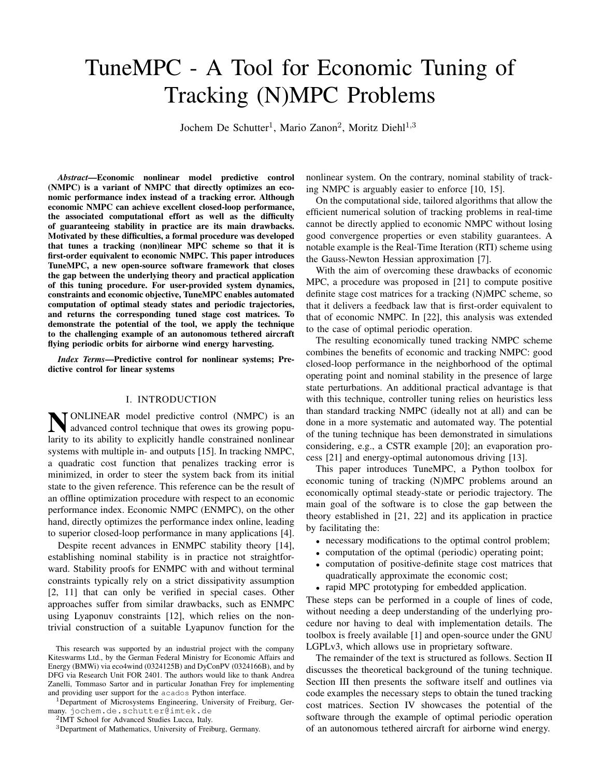# TuneMPC - A Tool for Economic Tuning of Tracking (N)MPC Problems

Jochem De Schutter<sup>1</sup>, Mario Zanon<sup>2</sup>, Moritz Diehl<sup>1,3</sup>

*Abstract*—Economic nonlinear model predictive control (NMPC) is a variant of NMPC that directly optimizes an economic performance index instead of a tracking error. Although economic NMPC can achieve excellent closed-loop performance, the associated computational effort as well as the difficulty of guaranteeing stability in practice are its main drawbacks. Motivated by these difficulties, a formal procedure was developed that tunes a tracking (non)linear MPC scheme so that it is first-order equivalent to economic NMPC. This paper introduces TuneMPC, a new open-source software framework that closes the gap between the underlying theory and practical application of this tuning procedure. For user-provided system dynamics, constraints and economic objective, TuneMPC enables automated computation of optimal steady states and periodic trajectories, and returns the corresponding tuned stage cost matrices. To demonstrate the potential of the tool, we apply the technique to the challenging example of an autonomous tethered aircraft flying periodic orbits for airborne wind energy harvesting.

*Index Terms*—Predictive control for nonlinear systems; Predictive control for linear systems

# I. INTRODUCTION

**NONLINEAR** model predictive control (NMPC) is an advanced control technique that owes its growing population to its ability to condition handle constrained negligence advanced control technique that owes its growing popularity to its ability to explicitly handle constrained nonlinear systems with multiple in- and outputs [\[15\]](#page-5-0). In tracking NMPC, a quadratic cost function that penalizes tracking error is minimized, in order to steer the system back from its initial state to the given reference. This reference can be the result of an offline optimization procedure with respect to an economic performance index. Economic NMPC (ENMPC), on the other hand, directly optimizes the performance index online, leading to superior closed-loop performance in many applications [\[4\]](#page-5-1).

Despite recent advances in ENMPC stability theory [\[14\]](#page-5-2), establishing nominal stability is in practice not straightforward. Stability proofs for ENMPC with and without terminal constraints typically rely on a strict dissipativity assumption [\[2,](#page-5-3) [11\]](#page-5-4) that can only be verified in special cases. Other approaches suffer from similar drawbacks, such as ENMPC using Lyaponuv constraints [\[12\]](#page-5-5), which relies on the nontrivial construction of a suitable Lyapunov function for the

<sup>1</sup>Department of Microsystems Engineering, University of Freiburg, Germany. jochem.de.schutter@imtek.de

2 IMT School for Advanced Studies Lucca, Italy.

nonlinear system. On the contrary, nominal stability of tracking NMPC is arguably easier to enforce [\[10,](#page-5-6) [15\]](#page-5-0).

On the computational side, tailored algorithms that allow the efficient numerical solution of tracking problems in real-time cannot be directly applied to economic NMPC without losing good convergence properties or even stability guarantees. A notable example is the Real-Time Iteration (RTI) scheme using the Gauss-Newton Hessian approximation [\[7\]](#page-5-7).

With the aim of overcoming these drawbacks of economic MPC, a procedure was proposed in [\[21\]](#page-5-8) to compute positive definite stage cost matrices for a tracking (N)MPC scheme, so that it delivers a feedback law that is first-order equivalent to that of economic NMPC. In [\[22\]](#page-5-9), this analysis was extended to the case of optimal periodic operation.

The resulting economically tuned tracking NMPC scheme combines the benefits of economic and tracking NMPC: good closed-loop performance in the neighborhood of the optimal operating point and nominal stability in the presence of large state perturbations. An additional practical advantage is that with this technique, controller tuning relies on heuristics less than standard tracking NMPC (ideally not at all) and can be done in a more systematic and automated way. The potential of the tuning technique has been demonstrated in simulations considering, e.g., a CSTR example [\[20\]](#page-5-10); an evaporation process [\[21\]](#page-5-8) and energy-optimal autonomous driving [\[13\]](#page-5-11).

This paper introduces TuneMPC, a Python toolbox for economic tuning of tracking (N)MPC problems around an economically optimal steady-state or periodic trajectory. The main goal of the software is to close the gap between the theory established in [\[21,](#page-5-8) [22\]](#page-5-9) and its application in practice by facilitating the:

- necessary modifications to the optimal control problem;
- computation of the optimal (periodic) operating point;
- computation of positive-definite stage cost matrices that quadratically approximate the economic cost;
- rapid MPC prototyping for embedded application.

These steps can be performed in a couple of lines of code, without needing a deep understanding of the underlying procedure nor having to deal with implementation details. The toolbox is freely available [\[1\]](#page-5-12) and open-source under the GNU LGPLv3, which allows use in proprietary software.

The remainder of the text is structured as follows. Section [II](#page-1-0) discusses the theoretical background of the tuning technique. Section [III](#page-3-0) then presents the software itself and outlines via code examples the necessary steps to obtain the tuned tracking cost matrices. Section [IV](#page-3-1) showcases the potential of the software through the example of optimal periodic operation of an autonomous tethered aircraft for airborne wind energy.

This research was supported by an industrial project with the company Kiteswarms Ltd., by the German Federal Ministry for Economic Affairs and Energy (BMWi) via eco4wind (0324125B) and DyConPV (0324166B), and by DFG via Research Unit FOR 2401. The authors would like to thank Andrea Zanelli, Tommaso Sartor and in particular Jonathan Frey for implementing and providing user support for the acados Python interface.

<sup>3</sup>Department of Mathematics, University of Freiburg, Germany.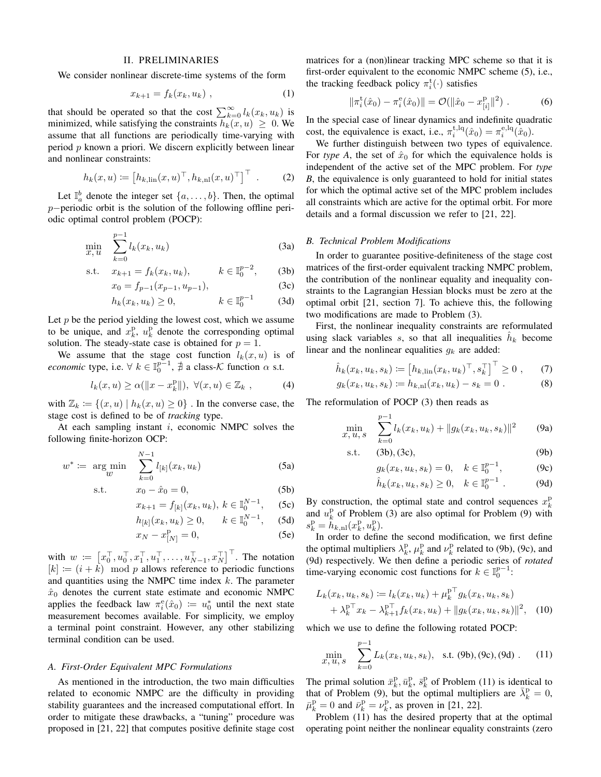## II. PRELIMINARIES

<span id="page-1-0"></span>We consider nonlinear discrete-time systems of the form

<span id="page-1-13"></span>
$$
x_{k+1} = f_k(x_k, u_k) \tag{1}
$$

that should be operated so that the cost  $\sum_{k=0}^{\infty} l_k(x_k, u_k)$  is minimized, while satisfying the constraints  $h_k(x, u) \geq 0$ . We assume that all functions are periodically time-varying with period  $p$  known a priori. We discern explicitly between linear and nonlinear constraints:

<span id="page-1-14"></span>
$$
h_k(x, u) := [h_{k, \text{lin}}(x, u)^\top, h_{k, \text{nl}}(x, u)^\top]^\top .
$$
 (2)

Let  $\mathbb{I}_{a}^{b}$  denote the integer set  $\{a, \ldots, b\}$ . Then, the optimal p–periodic orbit is the solution of the following offline periodic optimal control problem (POCP):

$$
\min_{x, u} \sum_{k=0}^{p-1} l_k(x_k, u_k)
$$
\n(3a)

s.t. 
$$
x_{k+1} = f_k(x_k, u_k), \qquad k \in \mathbb{I}_0^{p-2}
$$
, (3b)

$$
x_0 = f_{p-1}(x_{p-1}, u_{p-1}),
$$
\n(3c)

$$
h_k(x_k, u_k) \ge 0, \qquad k \in \mathbb{I}_0^{p-1} \qquad (3d)
$$

Let  $p$  be the period yielding the lowest cost, which we assume to be unique, and  $x_k^{\mathrm{p}}, u_k^{\mathrm{p}}$  denote the corresponding optimal solution. The steady-state case is obtained for  $p = 1$ .

We assume that the stage cost function  $l_k(x, u)$  is of *economic* type, i.e.  $\forall k \in \mathbb{I}_{0}^{p-1}$ ,  $\nexists$  a class-K function  $\alpha$  s.t.

$$
l_k(x, u) \ge \alpha(||x - x_k^{\mathrm{D}}||), \ \forall (x, u) \in \mathbb{Z}_k , \qquad (4)
$$

with  $\mathbb{Z}_k := \{(x, u) \mid h_k(x, u) \geq 0\}$ . In the converse case, the stage cost is defined to be of *tracking* type.

At each sampling instant  $i$ , economic NMPC solves the following finite-horizon OCP:

$$
w^* := \arg\min_{w} \sum_{k=0}^{N-1} l_{[k]}(x_k, u_k)
$$
 (5a)

s.t. 
$$
x_0 - \hat{x}_0 = 0,
$$
 (5b)

<span id="page-1-1"></span>
$$
x_{k+1} = f_{[k]}(x_k, u_k), \ k \in \mathbb{I}_0^{N-1}, \quad \text{(5c)}
$$

$$
h_{[k]}(x_k, u_k) \ge 0, \qquad k \in \mathbb{I}_0^{N-1}, \quad (5d)
$$

$$
x_N - x_{[N]}^{\mathbf{p}} = 0,\t\t(5\mathbf{e})
$$

with  $w := [x_0^{\top}, u_0^{\top}, x_1^{\top}, u_1^{\top}, \dots, u_{N-1}^{\top}, x_N^{\top}]^{\top}$ . The notation  $[k] := (i + k) \mod p$  allows reference to periodic functions and quantities using the NMPC time index  $k$ . The parameter  $\hat{x}_0$  denotes the current state estimate and economic NMPC applies the feedback law  $\pi_i^e(\hat{x}_0) := u_0^*$  until the next state measurement becomes available. For simplicity, we employ a terminal point constraint. However, any other stabilizing terminal condition can be used.

#### *A. First-Order Equivalent MPC Formulations*

As mentioned in the introduction, the two main difficulties related to economic NMPC are the difficulty in providing stability guarantees and the increased computational effort. In order to mitigate these drawbacks, a "tuning" procedure was proposed in [\[21,](#page-5-8) [22\]](#page-5-9) that computes positive definite stage cost matrices for a (non)linear tracking MPC scheme so that it is first-order equivalent to the economic NMPC scheme [\(5\)](#page-1-1), i.e., the tracking feedback policy  $\pi_i^{\rm t}(\cdot)$  satisfies

<span id="page-1-16"></span>
$$
\|\pi_i^{\rm t}(\hat{x}_0) - \pi_i^{\rm e}(\hat{x}_0)\| = \mathcal{O}(\|\hat{x}_0 - x_{[i]}^{\rm p}\|^2) \ . \tag{6}
$$

In the special case of linear dynamics and indefinite quadratic cost, the equivalence is exact, i.e.,  $\pi_i^{\text{t},\text{lq}}(\hat{x}_0) = \pi_i^{\text{e},\text{lq}}(\hat{x}_0)$ .

We further distinguish between two types of equivalence. For *type A*, the set of  $\hat{x}_0$  for which the equivalence holds is independent of the active set of the MPC problem. For *type B*, the equivalence is only guaranteed to hold for initial states for which the optimal active set of the MPC problem includes all constraints which are active for the optimal orbit. For more details and a formal discussion we refer to [\[21,](#page-5-8) [22\]](#page-5-9).

### <span id="page-1-2"></span>*B. Technical Problem Modifications*

<span id="page-1-4"></span><span id="page-1-3"></span>In order to guarantee positive-definiteness of the stage cost matrices of the first-order equivalent tracking NMPC problem, the contribution of the nonlinear equality and inequality constraints to the Lagrangian Hessian blocks must be zero at the optimal orbit [\[21,](#page-5-8) section 7]. To achieve this, the following two modifications are made to Problem [\(3\)](#page-1-2).

First, the nonlinear inequality constraints are reformulated using slack variables s, so that all inequalities  $\hat{h}_k$  become linear and the nonlinear equalities  $g_k$  are added:

$$
\hat{h}_k(x_k, u_k, s_k) := [h_{k,lin}(x_k, u_k)^\top, s_k^\top]^\top \ge 0 , \quad (7)
$$

$$
g_k(x_k, u_k, s_k) \coloneqq h_{k, \text{nl}}(x_k, u_k) - s_k = 0 \tag{8}
$$

The reformulation of POCP [\(3\)](#page-1-2) then reads as

$$
\min_{x, u, s} \sum_{k=0}^{p-1} l_k(x_k, u_k) + ||g_k(x_k, u_k, s_k)||^2 \qquad (9a)
$$

s.t. 
$$
(3b), (3c),
$$
 (9b)

<span id="page-1-5"></span>
$$
g_k(x_k, u_k, s_k) = 0, \quad k \in \mathbb{I}_0^{p-1},
$$
 (9c)

<span id="page-1-15"></span><span id="page-1-8"></span><span id="page-1-7"></span><span id="page-1-6"></span>
$$
\hat{h}_k(x_k, u_k, s_k) \ge 0, \quad k \in \mathbb{I}_0^{p-1}
$$
 (9d)

<span id="page-1-11"></span><span id="page-1-10"></span>By construction, the optimal state and control sequences  $x_k^p$ and  $u_k^p$  of Problem [\(3\)](#page-1-2) are also optimal for Problem [\(9\)](#page-1-5) with  $s_k^{\mathrm{p}} = \hat{h}_{k,\mathrm{nl}}(x_k^{\mathrm{p}},u_k^{\mathrm{p}}).$ 

<span id="page-1-12"></span>In order to define the second modification, we first define the optimal multipliers  $\lambda_k^{\text{p}}$ ,  $\mu_k^{\text{p}}$  and  $\nu_k^{\text{p}}$  related to [\(9b\)](#page-1-6), [\(9c\)](#page-1-7), and [\(9d\)](#page-1-8) respectively. We then define a periodic series of *rotated* time-varying economic cost functions for  $k \in \mathbb{I}_0^{p-1}$ :

$$
L_k(x_k, u_k, s_k) := l_k(x_k, u_k) + \mu_k^{p \top} g_k(x_k, u_k, s_k)
$$
  
+  $\lambda_k^{p \top} x_k - \lambda_{k+1}^{p \top} f_k(x_k, u_k) + ||g_k(x_k, u_k, s_k)||^2$ , (10)

which we use to define the following rotated POCP:

<span id="page-1-9"></span>
$$
\min_{x, u, s} \sum_{k=0}^{p-1} L_k(x_k, u_k, s_k), \text{ s.t. (9b), (9c), (9d).} \quad (11)
$$

The primal solution  $\bar{x}_k^{\mathrm{p}}, \bar{x}_k^{\mathrm{p}}, \bar{s}_k^{\mathrm{p}}$  of Problem [\(11\)](#page-1-9) is identical to that of Problem [\(9\)](#page-1-5), but the optimal multipliers are  $\bar{\lambda}_k^{\text{p}} = 0$ ,  $\bar{\mu}_k^{\rm p}=0$  and  $\bar{\nu}_k^{\rm p}=\nu_k^{\rm p}$ , as proven in [\[21,](#page-5-8) [22\]](#page-5-9).

Problem [\(11\)](#page-1-9) has the desired property that at the optimal operating point neither the nonlinear equality constraints (zero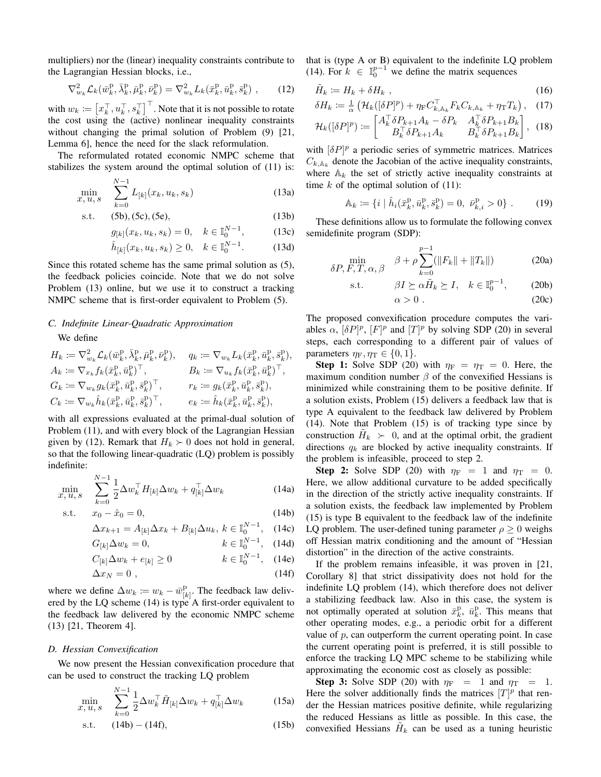multipliers) nor the (linear) inequality constraints contribute to the Lagrangian Hessian blocks, i.e.,

<span id="page-2-1"></span>
$$
\nabla_{w_k}^2 \mathcal{L}_k(\bar{w}_k^{\mathrm{p}}, \bar{\lambda}_k^{\mathrm{p}}, \bar{\mu}_k^{\mathrm{p}}, \bar{\nu}_k^{\mathrm{p}}) = \nabla_{w_k}^2 L_k(\bar{x}_k^{\mathrm{p}}, \bar{u}_k^{\mathrm{p}}, \bar{s}_k^{\mathrm{p}}) ,\qquad(12)
$$

with  $w_k \coloneqq \left[x_k^\top, u_k^\top, s_k^\top\right]^\top$ . Note that it is not possible to rotate the cost using the (active) nonlinear inequality constraints without changing the primal solution of Problem [\(9\)](#page-1-5) [\[21,](#page-5-8) Lemma 6], hence the need for the slack reformulation.

The reformulated rotated economic NMPC scheme that stabilizes the system around the optimal solution of [\(11\)](#page-1-9) is:

<span id="page-2-0"></span>
$$
\min_{x, u, s} \sum_{k=0}^{N-1} L_{[k]}(x_k, u_k, s_k)
$$
\n(13a)

s.t. 
$$
(5b), (5c), (5e),
$$
 (13b)

$$
g_{[k]}(x_k, u_k, s_k) = 0, \quad k \in \mathbb{I}_0^{N-1}, \tag{13c}
$$

$$
\hat{h}_{[k]}(x_k, u_k, s_k) \ge 0, \quad k \in \mathbb{I}_0^{N-1}.
$$
 (13d)

Since this rotated scheme has the same primal solution as [\(5\)](#page-1-1), the feedback policies coincide. Note that we do not solve Problem [\(13\)](#page-2-0) online, but we use it to construct a tracking NMPC scheme that is first-order equivalent to Problem [\(5\)](#page-1-1).

# *C. Indefinite Linear-Quadratic Approximation* We define

$$
\begin{aligned} & H_k := \nabla^2_{w_k} \mathcal{L}_k(\bar{w}_k^{\mathrm{p}}, \bar{\lambda}_k^{\mathrm{p}}, \bar{\mu}_k^{\mathrm{p}}, \bar{\nu}_k^{\mathrm{p}}), && q_k := \nabla_{w_k} L_k(\bar{x}_k^{\mathrm{p}}, \bar{u}_k^{\mathrm{p}}, \bar{s}_k^{\mathrm{p}}), \\ & A_k := \nabla_{x_k} f_k(\bar{x}_k^{\mathrm{p}}, \bar{u}_k^{\mathrm{p}})^\top, && B_k := \nabla_{u_k} f_k(\bar{x}_k^{\mathrm{p}}, \bar{u}_k^{\mathrm{p}})^\top, \\ & G_k := \nabla_{w_k} g_k(\bar{x}_k^{\mathrm{p}}, \bar{u}_k^{\mathrm{p}}, \bar{s}_k^{\mathrm{p}})^\top, && r_k := g_k(\bar{x}_k^{\mathrm{p}}, \bar{u}_k^{\mathrm{p}}, \bar{s}_k^{\mathrm{p}}), \\ & C_k := \nabla_{w_k} \hat{h}_k(\bar{x}_k^{\mathrm{p}}, \bar{u}_k^{\mathrm{p}}, \bar{s}_k^{\mathrm{p}})^\top, && e_k := \hat{h}_k(\bar{x}_k^{\mathrm{p}}, \bar{u}_k^{\mathrm{p}}, \bar{s}_k^{\mathrm{p}}), \end{aligned}
$$

with all expressions evaluated at the primal-dual solution of Problem [\(11\)](#page-1-9), and with every block of the Lagrangian Hessian given by [\(12\)](#page-2-1). Remark that  $H_k \succ 0$  does not hold in general, so that the following linear-quadratic (LQ) problem is possibly indefinite:

<span id="page-2-2"></span>
$$
\min_{x, u, s} \sum_{k=0}^{N-1} \frac{1}{2} \Delta w_k^{\top} H_{[k]} \Delta w_k + q_{[k]}^{\top} \Delta w_k \tag{14a}
$$

s.t. 
$$
x_0 - \hat{x}_0 = 0,
$$
 (14b)

$$
\Delta x_{k+1} = A_{[k]} \Delta x_k + B_{[k]} \Delta u_k, \ k \in \mathbb{I}_0^{N-1}, \quad (14c)
$$

$$
G_{[k]} \Delta w_k = 0, \qquad k \in \mathbb{I}_0^{N-1}, \quad (14d)
$$

$$
C_{[k]}\Delta w_k + e_{[k]} \ge 0 \qquad k \in \mathbb{I}_0^{N-1}, \quad (14e)
$$

$$
\Delta x_N = 0 \tag{14f}
$$

where we define  $\Delta w_k \coloneqq w_k - \bar{w}_{[k]}^{\text{p}}$  $\binom{p}{k}$ . The feedback law delivered by the LQ scheme [\(14\)](#page-2-2) is type A first-order equivalent to the feedback law delivered by the economic NMPC scheme [\(13\)](#page-2-0) [\[21,](#page-5-8) Theorem 4].

#### <span id="page-2-10"></span>*D. Hessian Convexification*

We now present the Hessian convexification procedure that can be used to construct the tracking LQ problem

$$
\min_{x, u, s} \sum_{k=0}^{N-1} \frac{1}{2} \Delta w_k^\top \tilde{H}_{[k]} \Delta w_k + q_{[k]}^\top \Delta w_k \tag{15a}
$$

s.t. 
$$
(14b) - (14f),
$$
 (15b)

that is (type A or B) equivalent to the indefinite LQ problem [\(14\)](#page-2-2). For  $k \in \mathbb{I}_{0}^{p-1}$  we define the matrix sequences

$$
\tilde{H}_k := H_k + \delta H_k \t\t(16)
$$

$$
\delta H_k := \frac{1}{\alpha} \left( \mathcal{H}_k \left( [\delta P]^p \right) + \eta_{\rm F} C_{k, \mathbb{A}_k}^\top F_k C_{k, \mathbb{A}_k} + \eta_{\rm T} T_k \right), \quad (17)
$$

$$
\mathcal{H}_k([\delta P]^p) := \begin{bmatrix} A_k^\top \delta P_{k+1} A_k - \delta P_k & A_k^\top \delta P_{k+1} B_k \\ B_k^\top \delta P_{k+1} A_k & B_k^\top \delta P_{k+1} B_k \end{bmatrix}, \tag{18}
$$

with  $[\delta P]^p$  a periodic series of symmetric matrices. Matrices  $C_{k, A_k}$  denote the Jacobian of the active inequality constraints, where  $\mathbb{A}_k$  the set of strictly active inequality constraints at time  $k$  of the optimal solution of  $(11)$ :

$$
\mathbb{A}_k := \{ i \mid \hat{h}_i(\bar{x}_k^{\mathrm{p}}, \bar{u}_k^{\mathrm{p}}, \bar{s}_k^{\mathrm{p}}) = 0, \ \bar{\nu}_{k,i}^{\mathrm{p}} > 0 \} \ . \tag{19}
$$

<span id="page-2-9"></span><span id="page-2-8"></span><span id="page-2-7"></span>These definitions allow us to formulate the following convex semidefinite program (SDP):

$$
\min_{\delta P, F, T, \alpha, \beta} \quad \beta + \rho \sum_{k=0}^{p-1} (||F_k|| + ||T_k||)
$$
 (20a)

$$
\text{s.t.} \qquad \beta I \succeq \alpha \tilde{H}_k \succeq I, \quad k \in \mathbb{I}_0^{p-1}, \qquad (20b)
$$

<span id="page-2-5"></span>
$$
\alpha > 0. \tag{20c}
$$

The proposed convexification procedure computes the variables  $\alpha$ ,  $[\delta P]^p$ ,  $[F]^p$  and  $[T]^p$  by solving SDP [\(20\)](#page-2-5) in several steps, each corresponding to a different pair of values of parameters  $\eta_F, \eta_T \in \{0, 1\}.$ 

**Step 1:** Solve SDP [\(20\)](#page-2-5) with  $\eta_F = \eta_T = 0$ . Here, the maximum condition number  $\beta$  of the convexified Hessians is minimized while constraining them to be positive definite. If a solution exists, Problem [\(15\)](#page-2-6) delivers a feedback law that is type A equivalent to the feedback law delivered by Problem [\(14\)](#page-2-2). Note that Problem [\(15\)](#page-2-6) is of tracking type since by construction  $\tilde{H}_k > 0$ , and at the optimal orbit, the gradient directions  $q_k$  are blocked by active inequality constraints. If the problem is infeasible, proceed to step 2.

<span id="page-2-3"></span>**Step 2:** Solve SDP [\(20\)](#page-2-5) with  $\eta_F = 1$  and  $\eta_T = 0$ . Here, we allow additional curvature to be added specifically in the direction of the strictly active inequality constraints. If a solution exists, the feedback law implemented by Problem [\(15\)](#page-2-6) is type B equivalent to the feedback law of the indefinite LQ problem. The user-defined tuning parameter  $\rho \geq 0$  weighs off Hessian matrix conditioning and the amount of "Hessian distortion" in the direction of the active constraints.

<span id="page-2-4"></span>If the problem remains infeasible, it was proven in [\[21,](#page-5-8) Corollary 8] that strict dissipativity does not hold for the indefinite LQ problem [\(14\)](#page-2-2), which therefore does not deliver a stabilizing feedback law. Also in this case, the system is not optimally operated at solution  $\bar{x}_k^{\mathrm{p}}$ ,  $\bar{u}_k^{\mathrm{p}}$ . This means that other operating modes, e.g., a periodic orbit for a different value of  $p$ , can outperform the current operating point. In case the current operating point is preferred, it is still possible to enforce the tracking LQ MPC scheme to be stabilizing while approximating the economic cost as closely as possible:

<span id="page-2-6"></span>Step 3: Solve SDP [\(20\)](#page-2-5) with  $\eta_F = 1$  and  $\eta_T = 1$ . Here the solver additionally finds the matrices  $[T]^p$  that render the Hessian matrices positive definite, while regularizing the reduced Hessians as little as possible. In this case, the convexified Hessians  $\tilde{H}_k$  can be used as a tuning heuristic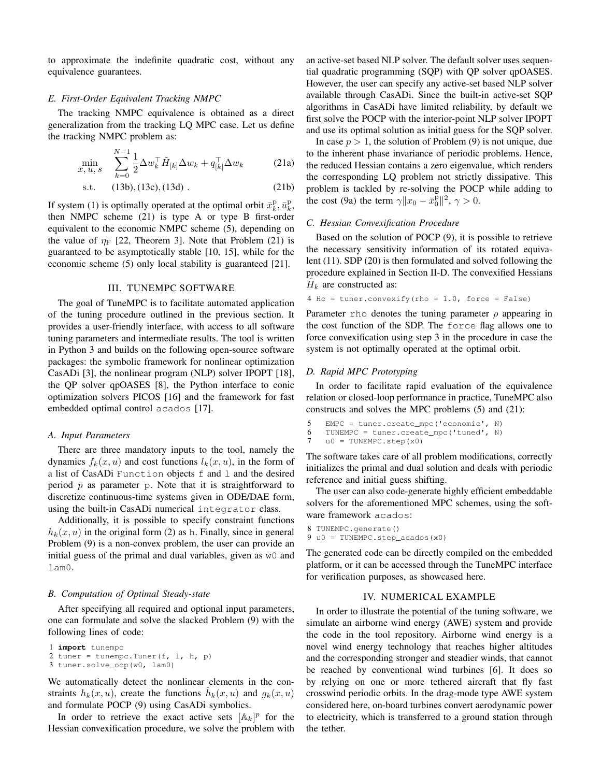to approximate the indefinite quadratic cost, without any equivalence guarantees.

#### *E. First-Order Equivalent Tracking NMPC*

The tracking NMPC equivalence is obtained as a direct generalization from the tracking LQ MPC case. Let us define the tracking NMPC problem as:

$$
\min_{x, u, s} \sum_{k=0}^{N-1} \frac{1}{2} \Delta w_k^\top \tilde{H}_{[k]} \Delta w_k + q_{[k]}^\top \Delta w_k \tag{21a}
$$

$$
s.t. \t(13b), (13c), (13d) . \t(21b)
$$

If system [\(1\)](#page-1-13) is optimally operated at the optimal orbit  $\bar{x}_k^{\mathrm{p}}, \bar{u}_k^{\mathrm{p}}$ , then NMPC scheme [\(21\)](#page-3-2) is type A or type B first-order equivalent to the economic NMPC scheme [\(5\)](#page-1-1), depending on the value of  $\eta_F$  [\[22,](#page-5-9) Theorem 3]. Note that Problem [\(21\)](#page-3-2) is guaranteed to be asymptotically stable [\[10,](#page-5-6) [15\]](#page-5-0), while for the economic scheme [\(5\)](#page-1-1) only local stability is guaranteed [\[21\]](#page-5-8).

### III. TUNEMPC SOFTWARE

<span id="page-3-0"></span>The goal of TuneMPC is to facilitate automated application of the tuning procedure outlined in the previous section. It provides a user-friendly interface, with access to all software tuning parameters and intermediate results. The tool is written in Python 3 and builds on the following open-source software packages: the symbolic framework for nonlinear optimization CasADi [\[3\]](#page-5-13), the nonlinear program (NLP) solver IPOPT [\[18\]](#page-5-14), the QP solver qpOASES [\[8\]](#page-5-15), the Python interface to conic optimization solvers PICOS [\[16\]](#page-5-16) and the framework for fast embedded optimal control acados [\[17\]](#page-5-17).

## *A. Input Parameters*

There are three mandatory inputs to the tool, namely the dynamics  $f_k(x, u)$  and cost functions  $l_k(x, u)$ , in the form of a list of CasADi Function objects f and l and the desired period  $p$  as parameter  $p$ . Note that it is straightforward to discretize continuous-time systems given in ODE/DAE form, using the built-in CasADi numerical integrator class.

Additionally, it is possible to specify constraint functions  $h_k(x, u)$  in the original form [\(2\)](#page-1-14) as h. Finally, since in general Problem [\(9\)](#page-1-5) is a non-convex problem, the user can provide an initial guess of the primal and dual variables, given as w0 and lam0.

## *B. Computation of Optimal Steady-state*

After specifying all required and optional input parameters, one can formulate and solve the slacked Problem [\(9\)](#page-1-5) with the following lines of code:

```
1 import tunempc
2 tuner = tunempc. Tuner(f, 1, h, p)
3 tuner.solve_ocp(w0, lam0)
```
We automatically detect the nonlinear elements in the constraints  $h_k(x, u)$ , create the functions  $\hat{h}_k(x, u)$  and  $g_k(x, u)$ and formulate POCP [\(9\)](#page-1-5) using CasADi symbolics.

In order to retrieve the exact active sets  $[\mathbb{A}_k]^p$  for the Hessian convexification procedure, we solve the problem with an active-set based NLP solver. The default solver uses sequential quadratic programming (SQP) with QP solver qpOASES. However, the user can specify any active-set based NLP solver available through CasADi. Since the built-in active-set SQP algorithms in CasADi have limited reliability, by default we first solve the POCP with the interior-point NLP solver IPOPT and use its optimal solution as initial guess for the SQP solver.

<span id="page-3-3"></span><span id="page-3-2"></span>In case  $p > 1$ , the solution of Problem [\(9\)](#page-1-5) is not unique, due to the inherent phase invariance of periodic problems. Hence, the reduced Hessian contains a zero eigenvalue, which renders the corresponding LQ problem not strictly dissipative. This problem is tackled by re-solving the POCP while adding to the cost [\(9a\)](#page-1-15) the term  $\gamma ||x_0 - \bar{x}_0^{\bar{p}}||^2$ ,  $\gamma > 0$ .

### *C. Hessian Convexification Procedure*

Based on the solution of POCP [\(9\)](#page-1-5), it is possible to retrieve the necessary sensitivity information of its rotated equivalent [\(11\)](#page-1-9). SDP [\(20\)](#page-2-5) is then formulated and solved following the procedure explained in Section [II-D.](#page-2-10) The convexified Hessians  $H_k$  are constructed as:

```
4 Hc = tuner.convexify(rho = 1.0, force = False)
```
Parameter rho denotes the tuning parameter  $\rho$  appearing in the cost function of the SDP. The force flag allows one to force convexification using step 3 in the procedure in case the system is not optimally operated at the optimal orbit.

#### *D. Rapid MPC Prototyping*

In order to facilitate rapid evaluation of the equivalence relation or closed-loop performance in practice, TuneMPC also constructs and solves the MPC problems [\(5\)](#page-1-1) and [\(21\)](#page-3-2):

```
5 EMPC = tuner.create_mpc('economic', N)
6 TUNEMPC = tuner.create_mpc('tuned', N)
7 u0 = TUNEMPC.step(x0)
```
The software takes care of all problem modifications, correctly initializes the primal and dual solution and deals with periodic reference and initial guess shifting.

The user can also code-generate highly efficient embeddable solvers for the aforementioned MPC schemes, using the software framework acados:

8 TUNEMPC.generate() 9 u0 = TUNEMPC.step\_acados(x0)

The generated code can be directly compiled on the embedded platform, or it can be accessed through the TuneMPC interface for verification purposes, as showcased here.

## IV. NUMERICAL EXAMPLE

<span id="page-3-1"></span>In order to illustrate the potential of the tuning software, we simulate an airborne wind energy (AWE) system and provide the code in the tool repository. Airborne wind energy is a novel wind energy technology that reaches higher altitudes and the corresponding stronger and steadier winds, that cannot be reached by conventional wind turbines [\[6\]](#page-5-18). It does so by relying on one or more tethered aircraft that fly fast crosswind periodic orbits. In the drag-mode type AWE system considered here, on-board turbines convert aerodynamic power to electricity, which is transferred to a ground station through the tether.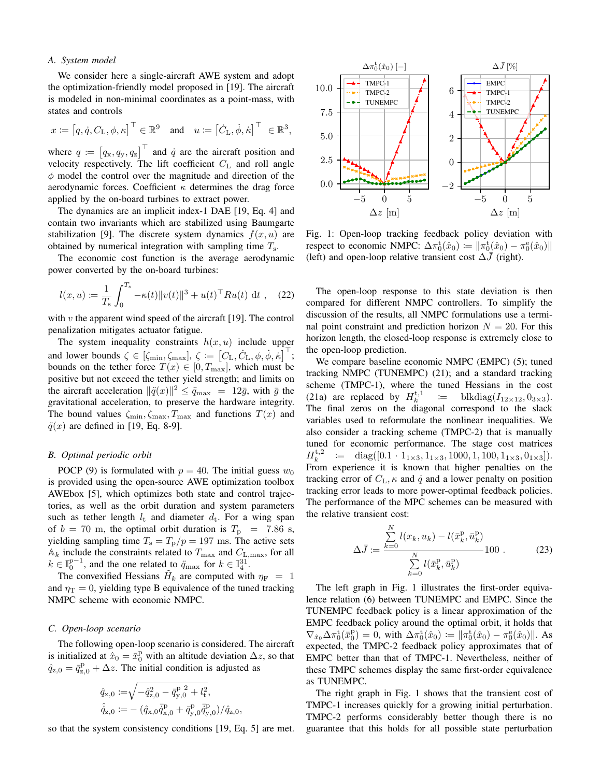# *A. System model*

We consider here a single-aircraft AWE system and adopt the optimization-friendly model proposed in [\[19\]](#page-5-19). The aircraft is modeled in non-minimal coordinates as a point-mass, with states and controls

$$
x \coloneqq [q, \dot{q}, C_{\mathcal{L}}, \phi, \kappa]^\top \in \mathbb{R}^9
$$
 and  $u \coloneqq [\dot{C}_{\mathcal{L}}, \dot{\phi}, \dot{\kappa}]^\top \in \mathbb{R}^3$ ,

where  $q := [q_x, q_y, q_z]^\top$  and  $\dot{q}$  are the aircraft position and velocity respectively. The lift coefficient  $C_{\text{L}}$  and roll angle  $\phi$  model the control over the magnitude and direction of the aerodynamic forces. Coefficient  $\kappa$  determines the drag force applied by the on-board turbines to extract power.

The dynamics are an implicit index-1 DAE [\[19,](#page-5-19) Eq. 4] and contain two invariants which are stabilized using Baumgarte stabilization [\[9\]](#page-5-20). The discrete system dynamics  $f(x, u)$  are obtained by numerical integration with sampling time  $T_s$ .

The economic cost function is the average aerodynamic power converted by the on-board turbines:

$$
l(x, u) := \frac{1}{T_s} \int_0^{T_s} -\kappa(t) \|v(t)\|^3 + u(t)^\top R u(t) dt , \quad (22)
$$

with  $v$  the apparent wind speed of the aircraft [\[19\]](#page-5-19). The control penalization mitigates actuator fatigue.

The system inequality constraints  $h(x, u)$  include upper and lower bounds  $\zeta \in [\zeta_{\min}, \zeta_{\max}], \zeta := [C_{\text{L}}, \dot{C}_{\text{L}}, \phi, \dot{\phi}, \dot{\kappa}]^{\top}$ ; bounds on the tether force  $T(x) \in [0, T_{\text{max}}]$ , which must be positive but not exceed the tether yield strength; and limits on the aircraft acceleration  $\|\ddot{q}(x)\|^2 \leq \ddot{q}_{\text{max}} = 12\bar{g}$ , with  $\bar{g}$  the gravitational acceleration, to preserve the hardware integrity. The bound values  $\zeta_{\min}, \zeta_{\max}, T_{\max}$  and functions  $T(x)$  and  $\ddot{q}(x)$  are defined in [\[19,](#page-5-19) Eq. 8-9].

## *B. Optimal periodic orbit*

POCP [\(9\)](#page-1-5) is formulated with  $p = 40$ . The initial guess  $w_0$ is provided using the open-source AWE optimization toolbox AWEbox [\[5\]](#page-5-21), which optimizes both state and control trajectories, as well as the orbit duration and system parameters such as tether length  $l_t$  and diameter  $d_t$ . For a wing span of  $b = 70$  m, the optimal orbit duration is  $T_p = 7.86$  s, yielding sampling time  $T_s = T_p/p = 197$  ms. The active sets  $A_k$  include the constraints related to  $T_{\text{max}}$  and  $C_{\text{L,max}}$ , for all  $k \in \mathbb{I}_{0}^{p-1}$ , and the one related to  $\ddot{q}_{\text{max}}$  for  $k \in \mathbb{I}_{4}^{31}$ .

The convexified Hessians  $\tilde{H}_k$  are computed with  $\eta_F = 1$ and  $\eta_T = 0$ , yielding type B equivalence of the tuned tracking NMPC scheme with economic NMPC.

#### *C. Open-loop scenario*

The following open-loop scenario is considered. The aircraft is initialized at  $\hat{x}_0 = \bar{x}_0^{\text{p}}$  with an altitude deviation  $\Delta z$ , so that  $\hat{q}_{z,0} = \bar{q}_{z,0}^{\text{p}} + \Delta z$ . The initial condition is adjusted as

$$
\hat{q}_{\mathbf{x},0} := \sqrt{-\hat{q}_{\mathbf{z},0}^2 - \bar{q}_{\mathbf{y},0}^{\mathbf{p}}^2 + l_{\mathbf{t}}^2}, \n\hat{q}_{\mathbf{z},0} := -(\hat{q}_{\mathbf{x},0}\bar{q}_{\mathbf{x},0}^{\mathbf{p}} + \bar{q}_{\mathbf{y},0}^{\mathbf{p}}\bar{q}_{\mathbf{y},0}^{\mathbf{p}})/\hat{q}_{\mathbf{z},0},
$$

so that the system consistency conditions [\[19,](#page-5-19) Eq. 5] are met.

<span id="page-4-0"></span>

Fig. 1: Open-loop tracking feedback policy deviation with respect to economic NMPC:  $\Delta \pi_0^{\text{t}}(\hat{x}_0) \coloneqq \| \pi_0^{\text{t}}(\hat{x}_0) - \pi_0^{\text{e}}(\hat{x}_0) \|$ (left) and open-loop relative transient cost  $\Delta\bar{J}$  (right).

The open-loop response to this state deviation is then compared for different NMPC controllers. To simplify the discussion of the results, all NMPC formulations use a terminal point constraint and prediction horizon  $N = 20$ . For this horizon length, the closed-loop response is extremely close to the open-loop prediction.

We compare baseline economic NMPC (EMPC) [\(5\)](#page-1-1); tuned tracking NMPC (TUNEMPC) [\(21\)](#page-3-2); and a standard tracking scheme (TMPC-1), where the tuned Hessians in the cost [\(21a\)](#page-3-3) are replaced by  $H_k^{\text{t,1}} \quad := \quad \text{blkdiag}(I_{12\times12}, 0_{3\times3}).$ The final zeros on the diagonal correspond to the slack variables used to reformulate the nonlinear inequalities. We also consider a tracking scheme (TMPC-2) that is manually tuned for economic performance. The stage cost matrices  $H_k^{t,2}$  := diag([0.1 · 1<sub>1×3</sub>, 1<sub>1×3</sub>, 1000, 1, 100, 1<sub>1×3</sub>, 0<sub>1×3</sub>]). From experience it is known that higher penalties on the tracking error of  $C_{\text{L}}$ ,  $\kappa$  and  $\dot{q}$  and a lower penalty on position tracking error leads to more power-optimal feedback policies. The performance of the MPC schemes can be measured with the relative transient cost:

$$
\Delta \bar{J} := \frac{\sum_{k=0}^{N} l(x_k, u_k) - l(\bar{x}_k^{\mathrm{P}}, \bar{u}_k^{\mathrm{P}})}{\sum_{k=0}^{N} l(\bar{x}_k^{\mathrm{P}}, \bar{u}_k^{\mathrm{P}})} 100 . \tag{23}
$$

The left graph in Fig. [1](#page-4-0) illustrates the first-order equivalence relation [\(6\)](#page-1-16) between TUNEMPC and EMPC. Since the TUNEMPC feedback policy is a linear approximation of the EMPC feedback policy around the optimal orbit, it holds that  $\nabla_{\hat{x}_0} \Delta \pi_0^{\rm t}(\bar{x}_0^{\rm p}) = 0$ , with  $\Delta \pi_0^{\rm t}(\hat{x}_0) := ||\pi_0^{\rm t}(\hat{x}_0) - \pi_0^{\rm e}(\hat{x}_0)||$ . As expected, the TMPC-2 feedback policy approximates that of EMPC better than that of TMPC-1. Nevertheless, neither of these TMPC schemes display the same first-order equivalence as TUNEMPC.

The right graph in Fig. [1](#page-4-0) shows that the transient cost of TMPC-1 increases quickly for a growing initial perturbation. TMPC-2 performs considerably better though there is no guarantee that this holds for all possible state perturbation